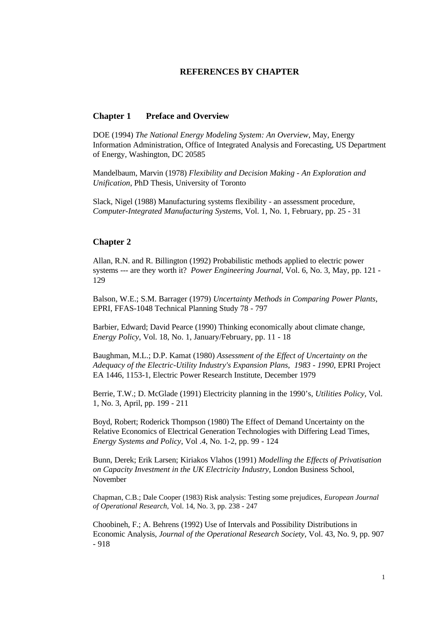### **REFERENCES BY CHAPTER**

### **Chapter 1 Preface and Overview**

DOE (1994) *The National Energy Modeling System: An Overview*, May, Energy Information Administration, Office of Integrated Analysis and Forecasting, US Department of Energy, Washington, DC 20585

Mandelbaum, Marvin (1978) *Flexibility and Decision Making - An Exploration and Unification*, PhD Thesis, University of Toronto

Slack, Nigel (1988) Manufacturing systems flexibility - an assessment procedure, *Computer-Integrated Manufacturing Systems*, Vol. 1, No. 1, February, pp. 25 - 31

#### **Chapter 2**

Allan, R.N. and R. Billington (1992) Probabilistic methods applied to electric power systems --- are they worth it? *Power Engineering Journal*, Vol. 6, No. 3, May, pp. 121 - 129

Balson, W.E.; S.M. Barrager (1979) *Uncertainty Methods in Comparing Power Plants*, EPRI, FFAS-1048 Technical Planning Study 78 - 797

Barbier, Edward; David Pearce (1990) Thinking economically about climate change, *Energy Policy*, Vol. 18, No. 1, January/February, pp. 11 - 18

Baughman, M.L.; D.P. Kamat (1980) *Assessment of the Effect of Uncertainty on the Adequacy of the Electric-Utility Industry's Expansion Plans, 1983 - 1990*, EPRI Project EA 1446, 1153-1, Electric Power Research Institute, December 1979

Berrie, T.W.; D. McGlade (1991) Electricity planning in the 1990's, *Utilities Policy,* Vol. 1, No. 3, April, pp. 199 - 211

Boyd, Robert; Roderick Thompson (1980) The Effect of Demand Uncertainty on the Relative Economics of Electrical Generation Technologies with Differing Lead Times, *Energy Systems and Policy*, Vol .4, No. 1-2, pp. 99 - 124

Bunn, Derek; Erik Larsen; Kiriakos Vlahos (1991) *Modelling the Effects of Privatisation on Capacity Investment in the UK Electricity Industry*, London Business School, November

Chapman, C.B.; Dale Cooper (1983) Risk analysis: Testing some prejudices, *European Journal of Operational Research,* Vol. 14, No. 3, pp. 238 - 247

Choobineh, F.; A. Behrens (1992) Use of Intervals and Possibility Distributions in Economic Analysis, *Journal of the Operational Research Society*, Vol. 43, No. 9, pp. 907 - 918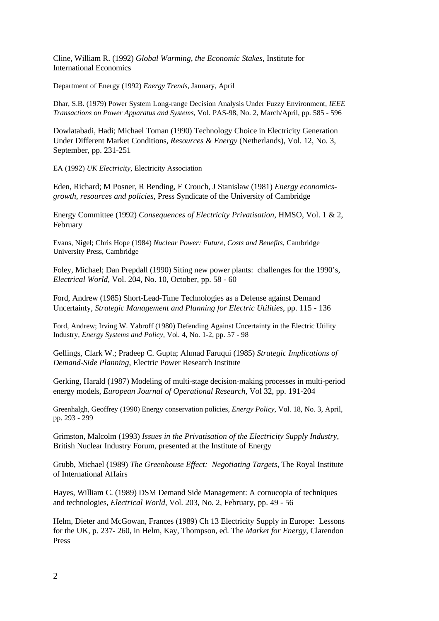Cline, William R. (1992) *Global Warming, the Economic Stakes*, Institute for International Economics

Department of Energy (1992) *Energy Trends,* January, April

Dhar, S.B. (1979) Power System Long-range Decision Analysis Under Fuzzy Environment, *IEEE Transactions on Power Apparatus and Systems*, Vol. PAS-98, No. 2, March/April, pp. 585 - 596

Dowlatabadi, Hadi; Michael Toman (1990) Technology Choice in Electricity Generation Under Different Market Conditions, *Resources & Energy* (Netherlands), Vol. 12, No. 3, September, pp. 231-251

EA (1992) *UK Electricity*, Electricity Association

Eden, Richard; M Posner, R Bending, E Crouch, J Stanislaw (1981) *Energy economicsgrowth, resources and policies,* Press Syndicate of the University of Cambridge

Energy Committee (1992) *Consequences of Electricity Privatisation*, HMSO, Vol. 1 & 2, February

Evans, Nigel; Chris Hope (1984) *Nuclear Power: Future, Costs and Benefits*, Cambridge University Press, Cambridge

Foley, Michael; Dan Prepdall (1990) Siting new power plants: challenges for the 1990's, *Electrical World*, Vol. 204, No. 10, October, pp. 58 - 60

Ford, Andrew (1985) Short-Lead-Time Technologies as a Defense against Demand Uncertainty, *Strategic Management and Planning for Electric Utilities*, pp. 115 - 136

Ford, Andrew; Irving W. Yabroff (1980) Defending Against Uncertainty in the Electric Utility Industry, *Energy Systems and Policy,* Vol. 4, No. 1-2, pp. 57 - 98

Gellings, Clark W.; Pradeep C. Gupta; Ahmad Faruqui (1985) *Strategic Implications of Demand-Side Planning*, Electric Power Research Institute

Gerking, Harald (1987) Modeling of multi-stage decision-making processes in multi-period energy models, *European Journal of Operational Research*, Vol 32, pp. 191-204

Greenhalgh, Geoffrey (1990) Energy conservation policies, *Energy Policy*, Vol. 18, No. 3, April, pp. 293 - 299

Grimston, Malcolm (1993) *Issues in the Privatisation of the Electricity Supply Industry*, British Nuclear Industry Forum, presented at the Institute of Energy

Grubb, Michael (1989) *The Greenhouse Effect: Negotiating Targets*, The Royal Institute of International Affairs

Hayes, William C. (1989) DSM Demand Side Management: A cornucopia of techniques and technologies, *Electrical World*, Vol. 203, No. 2, February, pp. 49 - 56

Helm, Dieter and McGowan, Frances (1989) Ch 13 Electricity Supply in Europe: Lessons for the UK, p. 237- 260, in Helm, Kay, Thompson, ed. The *Market for Energy,* Clarendon Press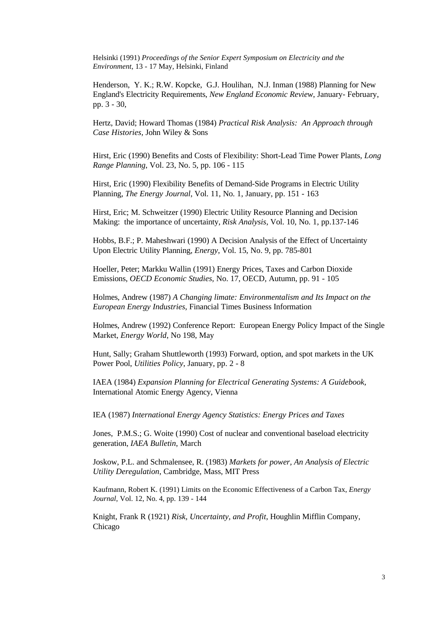Helsinki (1991) *Proceedings of the Senior Expert Symposium on Electricity and the Environment*, 13 - 17 May, Helsinki, Finland

Henderson, Y. K.; R.W. Kopcke, G.J. Houlihan, N.J. Inman (1988) Planning for New England's Electricity Requirements, *New England Economic Review*, January- February, pp. 3 - 30,

Hertz, David; Howard Thomas (1984) *Practical Risk Analysis: An Approach through Case Histories,* John Wiley & Sons

Hirst, Eric (1990) Benefits and Costs of Flexibility: Short-Lead Time Power Plants*, Long Range Planning*, Vol. 23, No. 5, pp. 106 - 115

Hirst, Eric (1990) Flexibility Benefits of Demand-Side Programs in Electric Utility Planning, *The Energy Journal*, Vol. 11, No. 1, January, pp. 151 - 163

Hirst, Eric; M. Schweitzer (1990) Electric Utility Resource Planning and Decision Making: the importance of uncertainty, *Risk Analysis*, Vol. 10, No. 1, pp.137-146

Hobbs, B.F.; P. Maheshwari (1990) A Decision Analysis of the Effect of Uncertainty Upon Electric Utility Planning, *Energy*, Vol. 15, No. 9, pp. 785-801

Hoeller, Peter; Markku Wallin (1991) Energy Prices, Taxes and Carbon Dioxide Emissions, *OECD Economic Studies,* No. 17, OECD, Autumn, pp. 91 - 105

Holmes, Andrew (1987) *A Changing limate: Environmentalism and Its Impact on the European Energy Industries*, Financial Times Business Information

Holmes, Andrew (1992) Conference Report: European Energy Policy Impact of the Single Market, *Energy World*, No 198, May

Hunt, Sally; Graham Shuttleworth (1993) Forward, option, and spot markets in the UK Power Pool, *Utilities Policy*, January, pp. 2 - 8

IAEA (1984) *Expansion Planning for Electrical Generating Systems: A Guidebook,* International Atomic Energy Agency, Vienna

IEA (1987) *International Energy Agency Statistics: Energy Prices and Taxes*

Jones, P.M.S.; G. Woite (1990) Cost of nuclear and conventional baseload electricity generation, *IAEA Bulletin*, March

Joskow, P.L. and Schmalensee, R. (1983) *Markets for power, An Analysis of Electric Utility Deregulation*, Cambridge, Mass, MIT Press

Kaufmann, Robert K. (1991) Limits on the Economic Effectiveness of a Carbon Tax, *Energy Journal*, Vol. 12, No. 4, pp. 139 - 144

Knight, Frank R (1921) *Risk, Uncertainty, and Profit*, Houghlin Mifflin Company, Chicago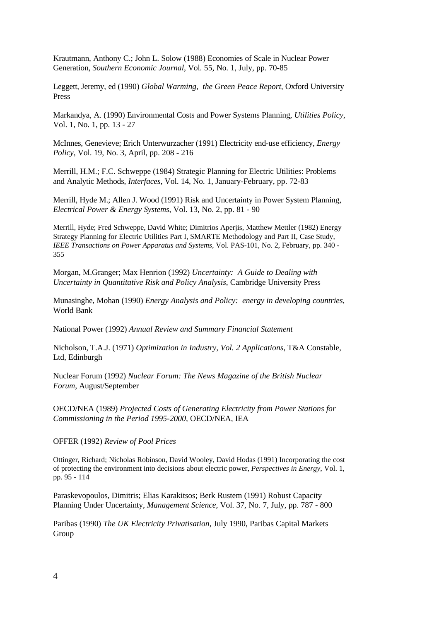Krautmann, Anthony C.; John L. Solow (1988) Economies of Scale in Nuclear Power Generation, *Southern Economic Journal*, Vol. 55, No. 1, July, pp. 70-85

Leggett, Jeremy, ed (1990) *Global Warming, the Green Peace Report*, Oxford University Press

Markandya, A. (1990) Environmental Costs and Power Systems Planning, *Utilities Policy*, Vol. 1, No. 1, pp. 13 - 27

McInnes, Genevieve; Erich Unterwurzacher (1991) Electricity end-use efficiency, *Energy Policy*, Vol. 19, No. 3, April, pp. 208 - 216

Merrill, H.M.; F.C. Schweppe (1984) Strategic Planning for Electric Utilities: Problems and Analytic Methods, *Interfaces*, Vol. 14, No. 1, January-February, pp. 72-83

Merrill, Hyde M.; Allen J. Wood (1991) Risk and Uncertainty in Power System Planning, *Electrical Power & Energy Systems*, Vol. 13, No. 2, pp. 81 - 90

Merrill, Hyde; Fred Schweppe, David White; Dimitrios Aperjis, Matthew Mettler (1982) Energy Strategy Planning for Electric Utilities Part I, SMARTE Methodology and Part II, Case Study, *IEEE Transactions on Power Apparatus and Systems,* Vol. PAS-101, No. 2, February, pp. 340 - 355

Morgan, M.Granger; Max Henrion (1992) *Uncertainty: A Guide to Dealing with Uncertainty in Quantitative Risk and Policy Analysis*, Cambridge University Press

Munasinghe, Mohan (1990) *Energy Analysis and Policy: energy in developing countries*, World Bank

National Power (1992) *Annual Review and Summary Financial Statement*

Nicholson, T.A.J. (1971) *Optimization in Industry, Vol. 2 Applications*, T&A Constable, Ltd, Edinburgh

Nuclear Forum (1992) *Nuclear Forum: The News Magazine of the British Nuclear Forum*, August/September

OECD/NEA (1989) *Projected Costs of Generating Electricity from Power Stations for Commissioning in the Period 1995-2000,* OECD/NEA, IEA

OFFER (1992) *Review of Pool Prices*

Ottinger, Richard; Nicholas Robinson, David Wooley, David Hodas (1991) Incorporating the cost of protecting the environment into decisions about electric power, *Perspectives in Energy*, Vol. 1, pp. 95 - 114

Paraskevopoulos, Dimitris; Elias Karakitsos; Berk Rustem (1991) Robust Capacity Planning Under Uncertainty, *Management Science*, Vol. 37, No. 7, July, pp. 787 - 800

Paribas (1990) *The UK Electricity Privatisation*, July 1990, Paribas Capital Markets Group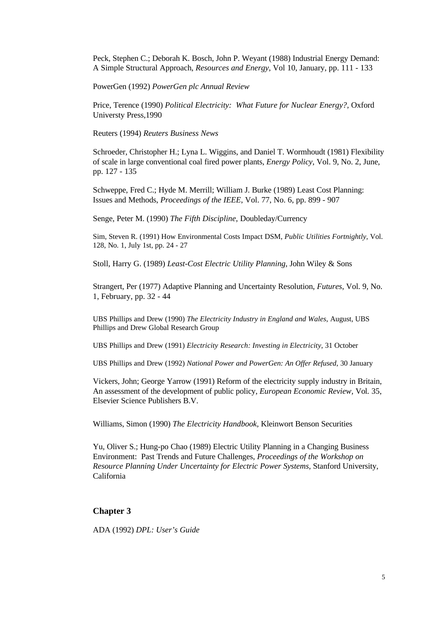Peck, Stephen C.; Deborah K. Bosch, John P. Weyant (1988) Industrial Energy Demand: A Simple Structural Approach, *Resources and Energy*, Vol 10, January, pp. 111 - 133

PowerGen (1992) *PowerGen plc Annual Review*

Price, Terence (1990) *Political Electricity: What Future for Nuclear Energy?,* Oxford Universty Press,1990

Reuters (1994) *Reuters Business News*

Schroeder, Christopher H.; Lyna L. Wiggins, and Daniel T. Wormhoudt (1981) Flexibility of scale in large conventional coal fired power plants, *Energy Policy*, Vol. 9, No. 2, June, pp. 127 - 135

Schweppe, Fred C.; Hyde M. Merrill; William J. Burke (1989) Least Cost Planning: Issues and Methods, *Proceedings of the IEEE*, Vol. 77, No. 6, pp. 899 - 907

Senge, Peter M. (1990) *The Fifth Discipline*, Doubleday/Currency

Sim, Steven R. (1991) How Environmental Costs Impact DSM, *Public Utilities Fortnightly,* Vol. 128, No. 1, July 1st, pp. 24 - 27

Stoll, Harry G. (1989) *Least-Cost Electric Utility Planning,* John Wiley & Sons

Strangert, Per (1977) Adaptive Planning and Uncertainty Resolution, *Futures*, Vol. 9, No. 1, February, pp. 32 - 44

UBS Phillips and Drew (1990) *The Electricity Industry in England and Wales*, August, UBS Phillips and Drew Global Research Group

UBS Phillips and Drew (1991) *Electricity Research: Investing in Electricity*, 31 October

UBS Phillips and Drew (1992) *National Power and PowerGen: An Offer Refused*, 30 January

Vickers, John; George Yarrow (1991) Reform of the electricity supply industry in Britain, An assessment of the development of public policy, *European Economic Review,* Vol. 35, Elsevier Science Publishers B.V.

Williams, Simon (1990) *The Electricity Handbook,* Kleinwort Benson Securities

Yu, Oliver S.; Hung-po Chao (1989) Electric Utility Planning in a Changing Business Environment: Past Trends and Future Challenges, *Proceedings of the Workshop on Resource Planning Under Uncertainty for Electric Power Systems,* Stanford University, California

### **Chapter 3**

ADA (1992) *DPL: User's Guide*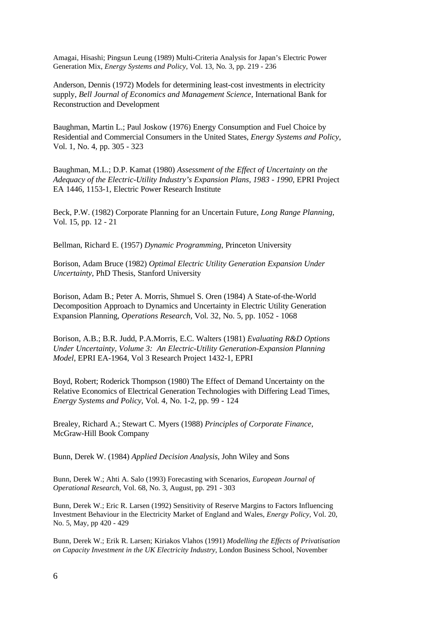Amagai, Hisashi; Pingsun Leung (1989) Multi-Criteria Analysis for Japan's Electric Power Generation Mix, *Energy Systems and Policy,* Vol. 13, No. 3, pp. 219 - 236

Anderson, Dennis (1972) Models for determining least-cost investments in electricity supply, *Bell Journal of Economics and Management Science,* International Bank for Reconstruction and Development

Baughman, Martin L.; Paul Joskow (1976) Energy Consumption and Fuel Choice by Residential and Commercial Consumers in the United States, *Energy Systems and Policy,* Vol. 1, No. 4, pp. 305 - 323

Baughman, M.L.; D.P. Kamat (1980) *Assessment of the Effect of Uncertainty on the Adequacy of the Electric-Utility Industry's Expansion Plans, 1983 - 1990*, EPRI Project EA 1446, 1153-1*,* Electric Power Research Institute

Beck, P.W. (1982) Corporate Planning for an Uncertain Future, *Long Range Planning,* Vol. 15, pp. 12 - 21

Bellman, Richard E. (1957) *Dynamic Programming*, Princeton University

Borison, Adam Bruce (1982) *Optimal Electric Utility Generation Expansion Under Uncertainty*, PhD Thesis*,* Stanford University

Borison, Adam B.; Peter A. Morris, Shmuel S. Oren (1984) A State-of-the-World Decomposition Approach to Dynamics and Uncertainty in Electric Utility Generation Expansion Planning, *Operations Research,* Vol. 32, No. 5, pp. 1052 - 1068

Borison, A.B.; B.R. Judd, P.A.Morris, E.C. Walters (1981) *Evaluating R&D Options Under Uncertainty, Volume 3: An Electric-Utility Generation-Expansion Planning Model*, EPRI EA-1964, Vol 3 Research Project 1432-1*,* EPRI

Boyd, Robert; Roderick Thompson (1980) The Effect of Demand Uncertainty on the Relative Economics of Electrical Generation Technologies with Differing Lead Times, *Energy Systems and Policy,* Vol. 4, No. 1-2, pp. 99 - 124

Brealey, Richard A.; Stewart C. Myers (1988) *Principles of Corporate Finance,* McGraw-Hill Book Company

Bunn, Derek W. (1984) *Applied Decision Analysis,* John Wiley and Sons

Bunn, Derek W.; Ahti A. Salo (1993) Forecasting with Scenarios, *European Journal of Operational Research*, Vol. 68, No. 3, August, pp. 291 - 303

Bunn, Derek W.; Eric R. Larsen (1992) Sensitivity of Reserve Margins to Factors Influencing Investment Behaviour in the Electricity Market of England and Wales, *Energy Policy*, Vol. 20, No. 5, May, pp 420 - 429

Bunn, Derek W.; Erik R. Larsen; Kiriakos Vlahos (1991) *Modelling the Effects of Privatisation on Capacity Investment in the UK Electricity Industry*, London Business School, November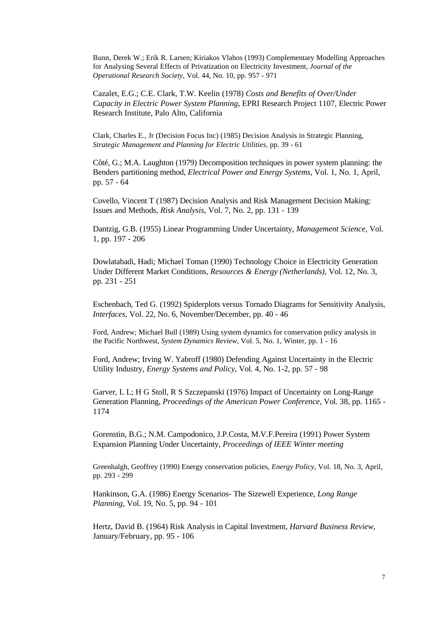Bunn, Derek W.; Erik R. Larsen; Kiriakos Vlahos (1993) Complementary Modelling Approaches for Analysing Several Effects of Privatization on Electricity Investment, *Journal of the Operational Research Society*, Vol. 44, No. 10, pp. 957 - 971

Cazalet, E.G.; C.E. Clark, T.W. Keelin (1978) *Costs and Benefits of Over/Under Capacity in Electric Power System Planning*, EPRI Research Project 1107*,* Electric Power Research Institute, Palo Alto, California

Clark, Charles E., Jr (Decision Focus Inc) (1985) Decision Analysis in Strategic Planning, *Strategic Management and Planning for Electric Utilities,* pp. 39 - 61

Côté, G.; M.A. Laughton (1979) Decomposition techniques in power system planning: the Benders partitioning method, *Electrical Power and Energy Systems*, Vol. 1, No. 1, April, pp. 57 - 64

Covello, Vincent T (1987) Decision Analysis and Risk Management Decision Making: Issues and Methods, *Risk Analysis*, Vol. 7, No. 2, pp. 131 - 139

Dantzig, G.B. (1955) Linear Programming Under Uncertainty, *Management Science,* Vol. 1, pp. 197 - 206

Dowlatabadi, Hadi; Michael Toman (1990) Technology Choice in Electricity Generation Under Different Market Conditions, *Resources & Energy (Netherlands),* Vol. 12, No. 3, pp. 231 - 251

Eschenbach, Ted G. (1992) Spiderplots versus Tornado Diagrams for Sensitivity Analysis, *Interfaces*, Vol. 22, No. 6, November/December, pp. 40 - 46

Ford, Andrew; Michael Bull (1989) Using system dynamics for conservation policy analysis in the Pacific Northwest, *System Dynamics Review,* Vol. 5, No. 1, Winter, pp. 1 - 16

Ford, Andrew; Irving W. Yabroff (1980) Defending Against Uncertainty in the Electric Utility Industry, *Energy Systems and Policy,* Vol. 4, No. 1-2, pp. 57 - 98

Garver, L L; H G Stoll, R S Szczepanski (1976) Impact of Uncertainty on Long-Range Generation Planning, *Proceedings of the American Power Conference,* Vol. 38, pp. 1165 - 1174

Gorenstin, B.G.; N.M. Campodonico, J.P.Costa, M.V.F.Pereira (1991) Power System Expansion Planning Under Uncertainty, *Proceedings of IEEE Winter meeting*

Greenhalgh, Geoffrey (1990) Energy conservation policies, *Energy Policy*, Vol. 18, No. 3, April, pp. 293 - 299

Hankinson, G.A. (1986) Energy Scenarios- The Sizewell Experience, *Long Range Planning,* Vol. 19, No. 5, pp. 94 - 101

Hertz, David B. (1964) Risk Analysis in Capital Investment, *Harvard Business Review*, January/February, pp. 95 - 106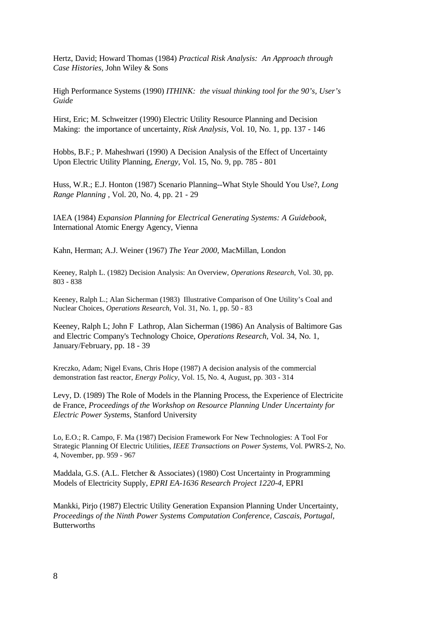Hertz, David; Howard Thomas (1984) *Practical Risk Analysis: An Approach through Case Histories,* John Wiley & Sons

High Performance Systems (1990) *ITHINK: the visual thinking tool for the 90's, User's Guide*

Hirst, Eric; M. Schweitzer (1990) Electric Utility Resource Planning and Decision Making: the importance of uncertainty, *Risk Analysis,* Vol. 10, No. 1, pp. 137 - 146

Hobbs, B.F.; P. Maheshwari (1990) A Decision Analysis of the Effect of Uncertainty Upon Electric Utility Planning, *Energy,* Vol. 15, No. 9, pp. 785 - 801

Huss, W.R.; E.J. Honton (1987) Scenario Planning--What Style Should You Use?, *Long Range Planning ,* Vol. 20, No. 4, pp. 21 - 29

IAEA (1984) *Expansion Planning for Electrical Generating Systems: A Guidebook,* International Atomic Energy Agency, Vienna

Kahn, Herman; A.J. Weiner (1967) *The Year 2000,* MacMillan, London

Keeney, Ralph L. (1982) Decision Analysis: An Overview, *Operations Research*, Vol. 30, pp. 803 - 838

Keeney, Ralph L.; Alan Sicherman (1983) Illustrative Comparison of One Utility's Coal and Nuclear Choices, *Operations Research*, Vol. 31, No. 1, pp. 50 - 83

Keeney, Ralph L; John F Lathrop, Alan Sicherman (1986) An Analysis of Baltimore Gas and Electric Company's Technology Choice, *Operations Research,* Vol. 34, No. 1, January/February, pp. 18 - 39

Kreczko, Adam; Nigel Evans, Chris Hope (1987) A decision analysis of the commercial demonstration fast reactor, *Energy Policy*, Vol. 15, No. 4, August, pp. 303 - 314

Levy, D. (1989) The Role of Models in the Planning Process, the Experience of Electricite de France, *Proceedings of the Workshop on Resource Planning Under Uncertainty for Electric Power Systems,* Stanford University

Lo, E.O.; R. Campo, F. Ma (1987) Decision Framework For New Technologies: A Tool For Strategic Planning Of Electric Utilities, *IEEE Transactions on Power Systems,* Vol. PWRS-2, No. 4, November, pp. 959 - 967

Maddala, G.S. (A.L. Fletcher & Associates) (1980) Cost Uncertainty in Programming Models of Electricity Supply, *EPRI EA-1636 Research Project 1220-4,* EPRI

Mankki, Pirjo (1987) Electric Utility Generation Expansion Planning Under Uncertainty, *Proceedings of the Ninth Power Systems Computation Conference, Cascais, Portugal,* **Butterworths**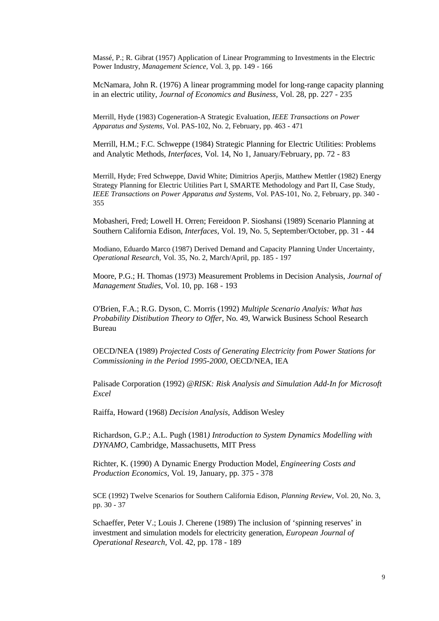Massé, P.; R. Gibrat (1957) Application of Linear Programming to Investments in the Electric Power Industry, *Management Science,* Vol. 3, pp. 149 - 166

McNamara, John R. (1976) A linear programming model for long-range capacity planning in an electric utility, *Journal of Economics and Business,* Vol. 28, pp. 227 - 235

Merrill, Hyde (1983) Cogeneration-A Strategic Evaluation, *IEEE Transactions on Power Apparatus and Systems,* Vol. PAS-102, No. 2, February, pp. 463 - 471

Merrill, H.M.; F.C. Schweppe (1984) Strategic Planning for Electric Utilities: Problems and Analytic Methods, *Interfaces,* Vol. 14, No 1, January/February, pp. 72 - 83

Merrill, Hyde; Fred Schweppe, David White; Dimitrios Aperjis, Matthew Mettler (1982) Energy Strategy Planning for Electric Utilities Part I, SMARTE Methodology and Part II, Case Study, *IEEE Transactions on Power Apparatus and Systems,* Vol. PAS-101, No. 2, February, pp. 340 - 355

Mobasheri, Fred; Lowell H. Orren; Fereidoon P. Sioshansi (1989) Scenario Planning at Southern California Edison, *Interfaces*, Vol. 19, No. 5, September/October, pp. 31 - 44

Modiano, Eduardo Marco (1987) Derived Demand and Capacity Planning Under Uncertainty, *Operational Research,* Vol. 35, No. 2, March/April, pp. 185 - 197

Moore, P.G.; H. Thomas (1973) Measurement Problems in Decision Analysis, *Journal of Management Studies*, Vol. 10, pp. 168 - 193

O'Brien, F.A.; R.G. Dyson, C. Morris (1992) *Multiple Scenario Analyis: What has Probability Distibution Theory to Offer,* No. 49, Warwick Business School Research Bureau

OECD/NEA (1989) *Projected Costs of Generating Electricity from Power Stations for Commissioning in the Period 1995-2000,* OECD/NEA, IEA

Palisade Corporation (1992) *@RISK: Risk Analysis and Simulation Add-In for Microsoft Excel*

Raiffa, Howard (1968) *Decision Analysis,* Addison Wesley

Richardson, G.P.; A.L. Pugh (1981*) Introduction to System Dynamics Modelling with DYNAMO*, Cambridge, Massachusetts, MIT Press

Richter, K. (1990) A Dynamic Energy Production Model, *Engineering Costs and Production Economics,* Vol. 19, January, pp. 375 - 378

SCE (1992) Twelve Scenarios for Southern California Edison, *Planning Review*, Vol. 20, No. 3, pp. 30 - 37

Schaeffer, Peter V.; Louis J. Cherene (1989) The inclusion of 'spinning reserves' in investment and simulation models for electricity generation, *European Journal of Operational Research,* Vol. 42, pp. 178 - 189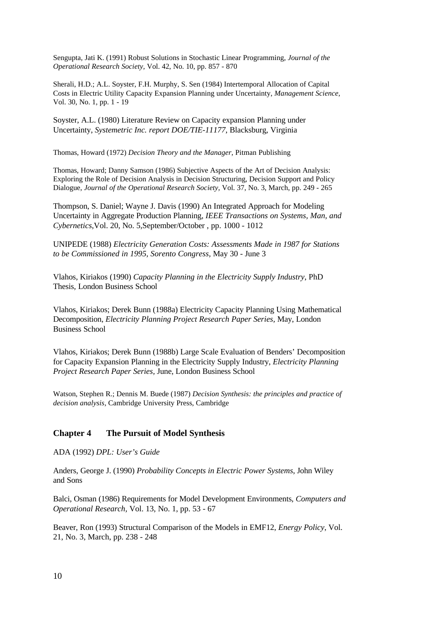Sengupta, Jati K. (1991) Robust Solutions in Stochastic Linear Programming, *Journal of the Operational Research Society,* Vol. 42, No. 10, pp. 857 - 870

Sherali, H.D.; A.L. Soyster, F.H. Murphy, S. Sen (1984) Intertemporal Allocation of Capital Costs in Electric Utility Capacity Expansion Planning under Uncertainty, *Management Science,* Vol. 30, No. 1, pp. 1 - 19

Soyster, A.L. (1980) Literature Review on Capacity expansion Planning under Uncertainty, *Systemetric Inc. report DOE/TIE-11177*, Blacksburg, Virginia

Thomas, Howard (1972) *Decision Theory and the Manager*, Pitman Publishing

Thomas, Howard; Danny Samson (1986) Subjective Aspects of the Art of Decision Analysis: Exploring the Role of Decision Analysis in Decision Structuring, Decision Support and Policy Dialogue, *Journal of the Operational Research Society,* Vol. 37, No. 3, March, pp. 249 - 265

Thompson, S. Daniel; Wayne J. Davis (1990) An Integrated Approach for Modeling Uncertainty in Aggregate Production Planning, *IEEE Transactions on Systems, Man, and Cybernetics*,Vol. 20, No. 5,September/October , pp. 1000 - 1012

UNIPEDE (1988) *Electricity Generation Costs: Assessments Made in 1987 for Stations to be Commissioned in 1995, Sorento Congress,* May 30 - June 3

Vlahos, Kiriakos (1990) *Capacity Planning in the Electricity Supply Industry*, PhD Thesis*,* London Business School

Vlahos, Kiriakos; Derek Bunn (1988a) Electricity Capacity Planning Using Mathematical Decomposition, *Electricity Planning Project Research Paper Series,* May, London Business School

Vlahos, Kiriakos; Derek Bunn (1988b) Large Scale Evaluation of Benders' Decomposition for Capacity Expansion Planning in the Electricity Supply Industry, *Electricity Planning Project Research Paper Series,* June, London Business School

Watson, Stephen R.; Dennis M. Buede (1987) *Decision Synthesis: the principles and practice of decision analysis*, Cambridge University Press, Cambridge

### **Chapter 4 The Pursuit of Model Synthesis**

ADA (1992) *DPL: User's Guide*

Anders, George J. (1990) *Probability Concepts in Electric Power Systems*, John Wiley and Sons

Balci, Osman (1986) Requirements for Model Development Environments, *Computers and Operational Research,* Vol. 13, No. 1, pp. 53 - 67

Beaver, Ron (1993) Structural Comparison of the Models in EMF12, *Energy Policy*, Vol. 21, No. 3, March, pp. 238 - 248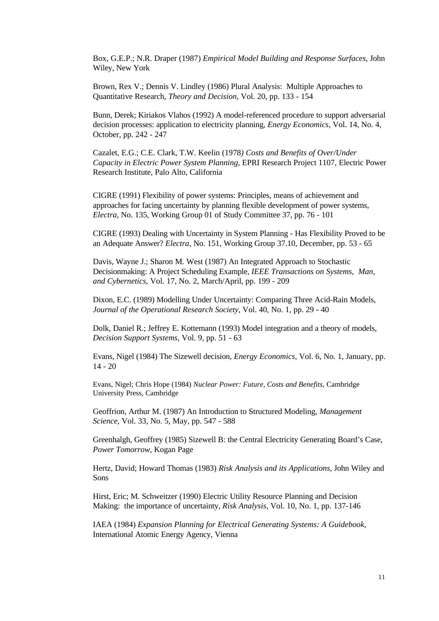Box, G.E.P.; N.R. Draper (1987) *Empirical Model Building and Response Surfaces*, John Wiley, New York

Brown, Rex V.; Dennis V. Lindley (1986) Plural Analysis: Multiple Approaches to Quantitative Research, *Theory and Decision*, Vol. 20, pp. 133 - 154

Bunn, Derek; Kiriakos Vlahos (1992) A model-referenced procedure to support adversarial decision processes: application to electricity planning, *Energy Economics*, Vol. 14, No. 4, October, pp. 242 - 247

Cazalet, E.G.; C.E. Clark, T.W. Keelin (1978*) Costs and Benefits of Over/Under Capacity in Electric Power System Planning*, EPRI Research Project 1107*,* Electric Power Research Institute, Palo Alto, California

CIGRE (1991) Flexibility of power systems: Principles, means of achievement and approaches for facing uncertainty by planning flexible development of power systems, *Electra*, No. 135, Working Group 01 of Study Committee 37, pp. 76 - 101

CIGRE (1993) Dealing with Uncertainty in System Planning - Has Flexibility Proved to be an Adequate Answer? *Electra*, No. 151, Working Group 37.10, December, pp. 53 - 65

Davis, Wayne J.; Sharon M. West (1987) An Integrated Approach to Stochastic Decisionmaking: A Project Scheduling Example, *IEEE Transactions on Systems, Man, and Cybernetics*, Vol. 17, No. 2, March/April, pp. 199 - 209

Dixon, E.C. (1989) Modelling Under Uncertainty: Comparing Three Acid-Rain Models, *Journal of the Operational Research Society*, Vol. 40, No. 1, pp. 29 - 40

Dolk, Daniel R.; Jeffrey E. Kottemann (1993) Model integration and a theory of models, *Decision Support Systems*, Vol. 9, pp. 51 - 63

Evans, Nigel (1984) The Sizewell decision, *Energy Economics*, Vol. 6, No. 1, January, pp. 14 - 20

Evans, Nigel; Chris Hope (1984) *Nuclear Power: Future, Costs and Benefits*, Cambridge University Press, Cambridge

Geoffrion, Arthur M. (1987) An Introduction to Structured Modeling, *Management Science*, Vol. 33, No. 5, May, pp. 547 - 588

Greenhalgh, Geoffrey (1985) Sizewell B: the Central Electricity Generating Board's Case, *Power Tomorrow*, Kogan Page

Hertz, David; Howard Thomas (1983) *Risk Analysis and its Applications*, John Wiley and Sons

Hirst, Eric; M. Schweitzer (1990) Electric Utility Resource Planning and Decision Making: the importance of uncertainty, *Risk Analysis*, Vol. 10, No. 1, pp. 137-146

IAEA (1984) *Expansion Planning for Electrical Generating Systems: A Guidebook*, International Atomic Energy Agency, Vienna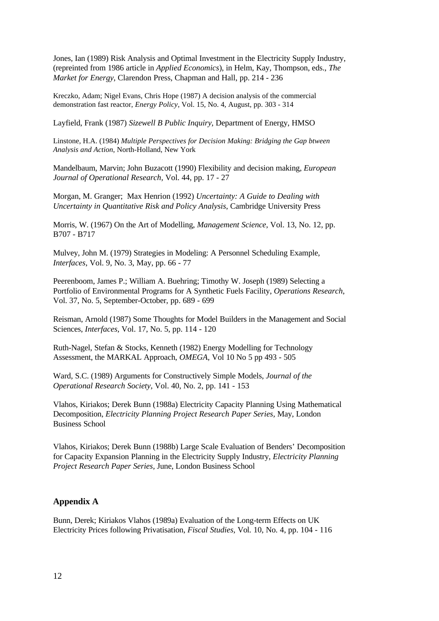Jones, Ian (1989) Risk Analysis and Optimal Investment in the Electricity Supply Industry, (repreinted from 1986 article in *Applied Economics*), in Helm, Kay, Thompson, eds., *The Market for Energy*, Clarendon Press, Chapman and Hall, pp. 214 - 236

Kreczko, Adam; Nigel Evans, Chris Hope (1987) A decision analysis of the commercial demonstration fast reactor, *Energy Policy*, Vol. 15, No. 4, August, pp. 303 - 314

Layfield, Frank (1987) *Sizewell B Public Inquiry*, Department of Energy, HMSO

Linstone, H.A. (1984) *Multiple Perspectives for Decision Making: Bridging the Gap btween Analysis and Action*, North-Holland, New York

Mandelbaum, Marvin; John Buzacott (1990) Flexibility and decision making, *European Journal of Operational Research,* Vol. 44, pp. 17 - 27

Morgan, M. Granger; Max Henrion (1992) *Uncertainty: A Guide to Dealing with Uncertainty in Quantitative Risk and Policy Analysis*, Cambridge University Press

Morris, W. (1967) On the Art of Modelling, *Management Science*, Vol. 13, No. 12, pp. B707 - B717

Mulvey, John M. (1979) Strategies in Modeling: A Personnel Scheduling Example, *Interfaces*, Vol. 9, No. 3, May, pp. 66 - 77

Peerenboom, James P.; William A. Buehring; Timothy W. Joseph (1989) Selecting a Portfolio of Environmental Programs for A Synthetic Fuels Facility, *Operations Research*, Vol. 37, No. 5, September-October, pp. 689 - 699

Reisman, Arnold (1987) Some Thoughts for Model Builders in the Management and Social Sciences, *Interfaces,* Vol. 17, No. 5, pp. 114 - 120

Ruth-Nagel, Stefan & Stocks, Kenneth (1982) Energy Modelling for Technology Assessment, the MARKAL Approach, *OMEGA,* Vol 10 No 5 pp 493 - 505

Ward, S.C. (1989) Arguments for Constructively Simple Models, *Journal of the Operational Research Society*, Vol. 40, No. 2, pp. 141 - 153

Vlahos, Kiriakos; Derek Bunn (1988a) Electricity Capacity Planning Using Mathematical Decomposition, *Electricity Planning Project Research Paper Series,* May, London Business School

Vlahos, Kiriakos; Derek Bunn (1988b) Large Scale Evaluation of Benders' Decomposition for Capacity Expansion Planning in the Electricity Supply Industry, *Electricity Planning Project Research Paper Series,* June, London Business School

## **Appendix A**

Bunn, Derek; Kiriakos Vlahos (1989a) Evaluation of the Long-term Effects on UK Electricity Prices following Privatisation, *Fiscal Studies,* Vol. 10, No. 4, pp. 104 - 116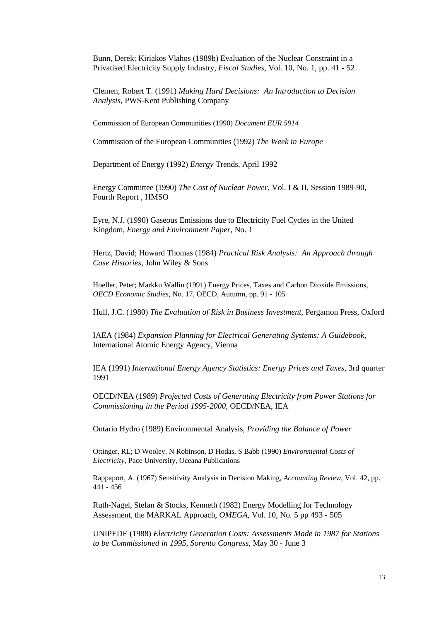Bunn, Derek; Kiriakos Vlahos (1989b) Evaluation of the Nuclear Constraint in a Privatised Electricity Supply Industry, *Fiscal Studies,* Vol. 10, No. 1, pp. 41 - 52

Clemen, Robert T. (1991) *Making Hard Decisions: An Introduction to Decision Analysis,* PWS-Kent Publishing Company

Commission of European Communities (1990) *Document EUR 5914*

Commission of the European Communities (1992) *The Week in Europe*

Department of Energy (1992) *Energy* Trends, April 1992

Energy Committee (1990) *The Cost of Nuclear Power,* Vol. I & II, Session 1989-90, Fourth Report , HMSO

Eyre, N.J. (1990) Gaseous Emissions due to Electricity Fuel Cycles in the United Kingdom, *Energy and Environment Paper,* No. 1

Hertz, David; Howard Thomas (1984) *Practical Risk Analysis: An Approach through Case Histories,* John Wiley & Sons

Hoeller, Peter; Markku Wallin (1991) Energy Prices, Taxes and Carbon Dioxide Emissions, *OECD Economic Studies,* No. 17, OECD, Autumn, pp. 91 - 105

Hull, J.C. (1980) *The Evaluation of Risk in Business Investment,* Pergamon Press, Oxford

IAEA (1984) *Expansion Planning for Electrical Generating Systems: A Guidebook,* International Atomic Energy Agency, Vienna

IEA (1991) *International Energy Agency Statistics: Energy Prices and Taxes*, 3rd quarter 1991

OECD/NEA (1989) *Projected Costs of Generating Electricity from Power Stations for Commissioning in the Period 1995-2000,* OECD/NEA, IEA

Ontario Hydro (1989) Environmental Analysis, *Providing the Balance of Power*

Ottinger, RL; D Wooley, N Robinson, D Hodas, S Babb (1990) *Environmental Costs of Electricity,* Pace University, Oceana Publications

Rappaport, A. (1967) Sensitivity Analysis in Decision Making, *Accounting Review*, Vol. 42, pp. 441 - 456

Ruth-Nagel, Stefan & Stocks, Kenneth (1982) Energy Modelling for Technology Assessment, the MARKAL Approach, *OMEGA,* Vol. 10, No. 5 pp 493 - 505

UNIPEDE (1988) *Electricity Generation Costs: Assessments Made in 1987 for Stations to be Commissioned in 1995, Sorento Congress,* May 30 - June 3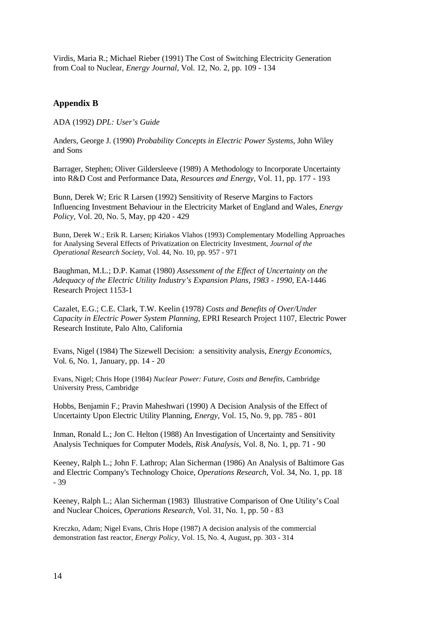Virdis, Maria R.; Michael Rieber (1991) The Cost of Switching Electricity Generation from Coal to Nuclear, *Energy Journal,* Vol. 12, No. 2, pp. 109 - 134

## **Appendix B**

ADA (1992) *DPL: User's Guide*

Anders, George J. (1990) *Probability Concepts in Electric Power Systems,* John Wiley and Sons

Barrager, Stephen; Oliver Gildersleeve (1989) A Methodology to Incorporate Uncertainty into R&D Cost and Performance Data, *Resources and Energy*, Vol. 11, pp. 177 - 193

Bunn, Derek W; Eric R Larsen (1992) Sensitivity of Reserve Margins to Factors Influencing Investment Behaviour in the Electricity Market of England and Wales, *Energy Policy*, Vol. 20, No. 5, May, pp 420 - 429

Bunn, Derek W.; Erik R. Larsen; Kiriakos Vlahos (1993) Complementary Modelling Approaches for Analysing Several Effects of Privatization on Electricity Investment, *Journal of the Operational Research Society*, Vol. 44, No. 10, pp. 957 - 971

Baughman, M.L.; D.P. Kamat (1980) *Assessment of the Effect of Uncertainty on the Adequacy of the Electric Utility Industry's Expansion Plans, 1983 - 1990*, EA-1446 Research Project 1153-1

Cazalet, E.G.; C.E. Clark, T.W. Keelin (1978*) Costs and Benefits of Over/Under Capacity in Electric Power System Planning*, EPRI Research Project 1107*,* Electric Power Research Institute, Palo Alto, California

Evans, Nigel (1984) The Sizewell Decision: a sensitivity analysis, *Energy Economics*, Vol. 6, No. 1, January, pp. 14 - 20

Evans, Nigel; Chris Hope (1984) *Nuclear Power: Future, Costs and Benefits*, Cambridge University Press, Cambridge

Hobbs, Benjamin F.; Pravin Maheshwari (1990) A Decision Analysis of the Effect of Uncertainty Upon Electric Utility Planning, *Energy*, Vol. 15, No. 9, pp. 785 - 801

Inman, Ronald L.; Jon C. Helton (1988) An Investigation of Uncertainty and Sensitivity Analysis Techniques for Computer Models, *Risk Analysis*, Vol. 8, No. 1, pp. 71 - 90

Keeney, Ralph L.; John F. Lathrop; Alan Sicherman (1986) An Analysis of Baltimore Gas and Electric Company's Technology Choice, *Operations Research*, Vol. 34, No. 1, pp. 18 - 39

Keeney, Ralph L.; Alan Sicherman (1983) Illustrative Comparison of One Utility's Coal and Nuclear Choices, *Operations Research*, Vol. 31, No. 1, pp. 50 - 83

Kreczko, Adam; Nigel Evans, Chris Hope (1987) A decision analysis of the commercial demonstration fast reactor, *Energy Policy*, Vol. 15, No. 4, August, pp. 303 - 314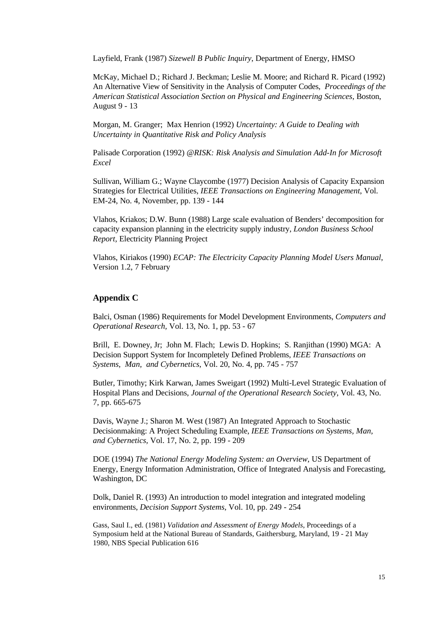Layfield, Frank (1987) *Sizewell B Public Inquiry*, Department of Energy, HMSO

McKay, Michael D.; Richard J. Beckman; Leslie M. Moore; and Richard R. Picard (1992) An Alternative View of Sensitivity in the Analysis of Computer Codes, *Proceedings of the American Statistical Association Section on Physical and Engineering Sciences*, Boston, August 9 - 13

Morgan, M. Granger; Max Henrion (1992) *Uncertainty: A Guide to Dealing with Uncertainty in Quantitative Risk and Policy Analysis*

Palisade Corporation (1992) *@RISK: Risk Analysis and Simulation Add-In for Microsoft Excel*

Sullivan, William G.; Wayne Claycombe (1977) Decision Analysis of Capacity Expansion Strategies for Electrical Utilities, *IEEE Transactions on Engineering Management*, Vol. EM-24, No. 4, November, pp. 139 - 144

Vlahos, Kriakos; D.W. Bunn (1988) Large scale evaluation of Benders' decomposition for capacity expansion planning in the electricity supply industry, *London Business School Report,* Electricity Planning Project

Vlahos, Kiriakos (1990) *ECAP: The Electricity Capacity Planning Model Users Manual*, Version 1.2, 7 February

## **Appendix C**

Balci, Osman (1986) Requirements for Model Development Environments, *Computers and Operational Research,* Vol. 13, No. 1, pp. 53 - 67

Brill, E. Downey, Jr; John M. Flach; Lewis D. Hopkins; S. Ranjithan (1990) MGA: A Decision Support System for Incompletely Defined Problems, *IEEE Transactions on Systems, Man, and Cybernetics*, Vol. 20, No. 4, pp. 745 - 757

Butler, Timothy; Kirk Karwan, James Sweigart (1992) Multi-Level Strategic Evaluation of Hospital Plans and Decisions, *Journal of the Operational Research Society*, Vol. 43, No. 7, pp. 665-675

Davis, Wayne J.; Sharon M. West (1987) An Integrated Approach to Stochastic Decisionmaking: A Project Scheduling Example, *IEEE Transactions on Systems, Man, and Cybernetics,* Vol. 17, No. 2, pp. 199 - 209

DOE (1994) *The National Energy Modeling System: an Overview*, US Department of Energy, Energy Information Administration, Office of Integrated Analysis and Forecasting, Washington, DC

Dolk, Daniel R. (1993) An introduction to model integration and integrated modeling environments, *Decision Support Systems*, Vol. 10, pp. 249 - 254

Gass, Saul I., ed. (1981) *Validation and Assessment of Energy Models*, Proceedings of a Symposium held at the National Bureau of Standards, Gaithersburg, Maryland, 19 - 21 May 1980, NBS Special Publication 616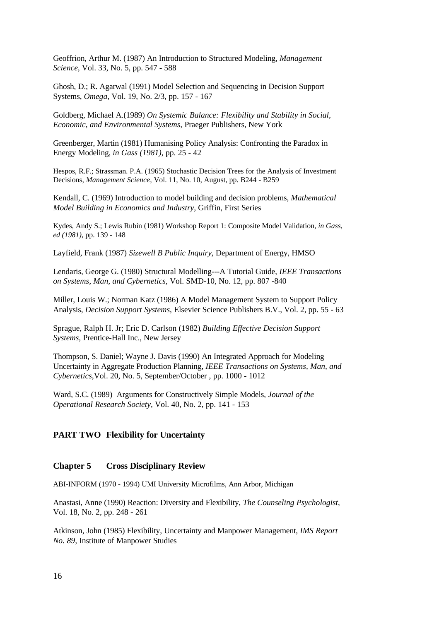Geoffrion, Arthur M. (1987) An Introduction to Structured Modeling, *Management Science,* Vol. 33, No. 5, pp. 547 - 588

Ghosh, D.; R. Agarwal (1991) Model Selection and Sequencing in Decision Support Systems, *Omega,* Vol. 19, No. 2/3, pp. 157 - 167

Goldberg, Michael A.(1989) *On Systemic Balance: Flexibility and Stability in Social, Economic, and Environmental Systems,* Praeger Publishers, New York

Greenberger, Martin (1981) Humanising Policy Analysis: Confronting the Paradox in Energy Modeling, *in Gass (1981)*, pp. 25 - 42

Hespos, R.F.; Strassman. P.A. (1965) Stochastic Decision Trees for the Analysis of Investment Decisions, *Management Science,* Vol. 11, No. 10, August, pp. B244 - B259

Kendall, C. (1969) Introduction to model building and decision problems, *Mathematical Model Building in Economics and Industry,* Griffin, First Series

Kydes, Andy S.; Lewis Rubin (1981) Workshop Report 1: Composite Model Validation, *in Gass, ed (1981)*, pp. 139 - 148

Layfield, Frank (1987) *Sizewell B Public Inquiry*, Department of Energy, HMSO

Lendaris, George G. (1980) Structural Modelling---A Tutorial Guide, *IEEE Transactions on Systems, Man, and Cybernetics,* Vol. SMD-10, No. 12, pp. 807 -840

Miller, Louis W.; Norman Katz (1986) A Model Management System to Support Policy Analysis, *Decision Support Systems,* Elsevier Science Publishers B.V., Vol. 2, pp. 55 - 63

Sprague, Ralph H. Jr; Eric D. Carlson (1982) *Building Effective Decision Support Systems,* Prentice-Hall Inc., New Jersey

Thompson, S. Daniel; Wayne J. Davis (1990) An Integrated Approach for Modeling Uncertainty in Aggregate Production Planning, *IEEE Transactions on Systems, Man, and Cybernetics*,Vol. 20, No. 5, September/October , pp. 1000 - 1012

Ward, S.C. (1989) Arguments for Constructively Simple Models, *Journal of the Operational Research Society,* Vol. 40, No. 2, pp. 141 - 153

### **PART TWO Flexibility for Uncertainty**

#### **Chapter 5 Cross Disciplinary Review**

ABI-INFORM (1970 - 1994) UMI University Microfilms, Ann Arbor, Michigan

Anastasi, Anne (1990) Reaction: Diversity and Flexibility, *The Counseling Psychologist*, Vol. 18, No. 2, pp. 248 - 261

Atkinson, John (1985) Flexibility, Uncertainty and Manpower Management, *IMS Report No. 89,* Institute of Manpower Studies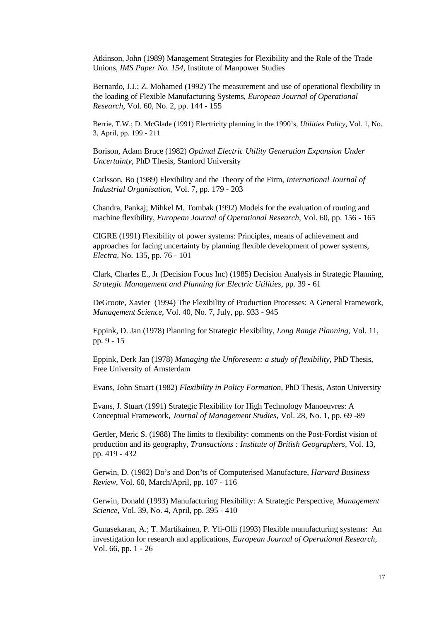Atkinson, John (1989) Management Strategies for Flexibility and the Role of the Trade Unions, *IMS Paper No. 154,* Institute of Manpower Studies

Bernardo, J.J.; Z. Mohamed (1992) The measurement and use of operational flexibility in the loading of Flexible Manufacturing Systems, *European Journal of Operational Research,* Vol. 60, No. 2, pp. 144 - 155

Berrie, T.W.; D. McGlade (1991) Electricity planning in the 1990's, *Utilities Policy,* Vol. 1, No. 3, April, pp. 199 - 211

Borison, Adam Bruce (1982) *Optimal Electric Utility Generation Expansion Under Uncertainty*, PhD Thesis, Stanford University

Carlsson, Bo (1989) Flexibility and the Theory of the Firm, *International Journal of Industrial Organisation*, Vol. 7, pp. 179 - 203

Chandra, Pankaj; Mihkel M. Tombak (1992) Models for the evaluation of routing and machine flexibility, *European Journal of Operational Research*, Vol. 60, pp. 156 - 165

CIGRE (1991) Flexibility of power systems: Principles, means of achievement and approaches for facing uncertainty by planning flexible development of power systems, *Electra,* No. 135, pp. 76 - 101

Clark, Charles E., Jr (Decision Focus Inc) (1985) Decision Analysis in Strategic Planning, *Strategic Management and Planning for Electric Utilities,* pp. 39 - 61

DeGroote, Xavier (1994) The Flexibility of Production Processes: A General Framework, *Management Science*, Vol. 40, No. 7, July, pp. 933 - 945

Eppink, D. Jan (1978) Planning for Strategic Flexibility, *Long Range Planning,* Vol. 11, pp. 9 - 15

Eppink, Derk Jan (1978) *Managing the Unforeseen: a study of flexibility,* PhD Thesis, Free University of Amsterdam

Evans, John Stuart (1982) *Flexibility in Policy Formation,* PhD Thesis, Aston University

Evans, J. Stuart (1991) Strategic Flexibility for High Technology Manoeuvres: A Conceptual Framework, *Journal of Management Studies*, Vol. 28, No. 1, pp. 69 -89

Gertler, Meric S. (1988) The limits to flexibility: comments on the Post-Fordist vision of production and its geography, *Transactions : Institute of British Geographers,* Vol. 13, pp. 419 - 432

Gerwin, D. (1982) Do's and Don'ts of Computerised Manufacture, *Harvard Business Review*, Vol. 60, March/April, pp. 107 - 116

Gerwin, Donald (1993) Manufacturing Flexibility: A Strategic Perspective, *Management Science*, Vol. 39, No. 4, April, pp. 395 - 410

Gunasekaran, A.; T. Martikainen, P. Yli-Olli (1993) Flexible manufacturing systems: An investigation for research and applications, *European Journal of Operational Research*, Vol. 66, pp. 1 - 26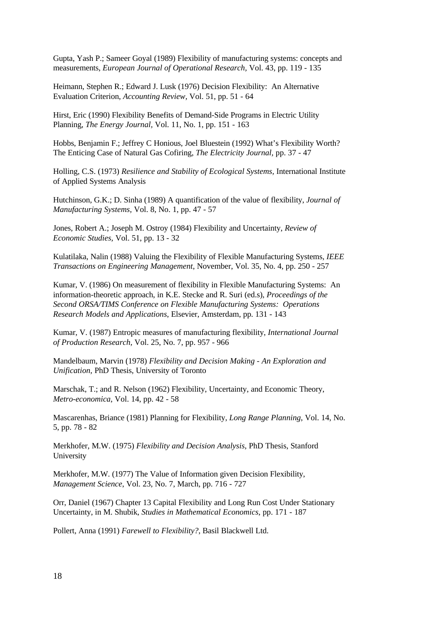Gupta, Yash P.; Sameer Goyal (1989) Flexibility of manufacturing systems: concepts and measurements, *European Journal of Operational Research,* Vol. 43, pp. 119 - 135

Heimann, Stephen R.; Edward J. Lusk (1976) Decision Flexibility: An Alternative Evaluation Criterion, *Accounting Review,* Vol. 51, pp. 51 - 64

Hirst, Eric (1990) Flexibility Benefits of Demand-Side Programs in Electric Utility Planning, *The Energy Journal,* Vol. 11, No. 1, pp. 151 - 163

Hobbs, Benjamin F.; Jeffrey C Honious, Joel Bluestein (1992) What's Flexibility Worth? The Enticing Case of Natural Gas Cofiring, *The Electricity Journal,* pp. 37 - 47

Holling, C.S. (1973) *Resilience and Stability of Ecological Systems,* International Institute of Applied Systems Analysis

Hutchinson, G.K.; D. Sinha (1989) A quantification of the value of flexibility, *Journal of Manufacturing Systems,* Vol. 8, No. 1, pp. 47 - 57

Jones, Robert A.; Joseph M. Ostroy (1984) Flexibility and Uncertainty, *Review of Economic Studies,* Vol. 51, pp. 13 - 32

Kulatilaka, Nalin (1988) Valuing the Flexibility of Flexible Manufacturing Systems, *IEEE Transactions on Engineering Management*, November, Vol. 35, No. 4, pp. 250 - 257

Kumar, V. (1986) On measurement of flexibility in Flexible Manufacturing Systems: An information-theoretic approach, in K.E. Stecke and R. Suri (ed.s), *Proceedings of the Second ORSA/TIMS Conference on Flexible Manufacturing Systems: Operations Research Models and Applications*, Elsevier, Amsterdam, pp. 131 - 143

Kumar, V. (1987) Entropic measures of manufacturing flexibility, *International Journal of Production Research,* Vol. 25, No. 7, pp. 957 - 966

Mandelbaum, Marvin (1978) *Flexibility and Decision Making - An Exploration and Unification,* PhD Thesis, University of Toronto

Marschak, T.; and R. Nelson (1962) Flexibility, Uncertainty, and Economic Theory, *Metro-economica*, Vol. 14, pp. 42 - 58

Mascarenhas, Briance (1981) Planning for Flexibility, *Long Range Planning*, Vol. 14, No. 5, pp. 78 - 82

Merkhofer, M.W. (1975) *Flexibility and Decision Analysis*, PhD Thesis, Stanford University

Merkhofer, M.W. (1977) The Value of Information given Decision Flexibility, *Management Science*, Vol. 23, No. 7, March, pp. 716 - 727

Orr, Daniel (1967) Chapter 13 Capital Flexibility and Long Run Cost Under Stationary Uncertainty, in M. Shubik, *Studies in Mathematical Economics*, pp. 171 - 187

Pollert, Anna (1991) *Farewell to Flexibility?*, Basil Blackwell Ltd.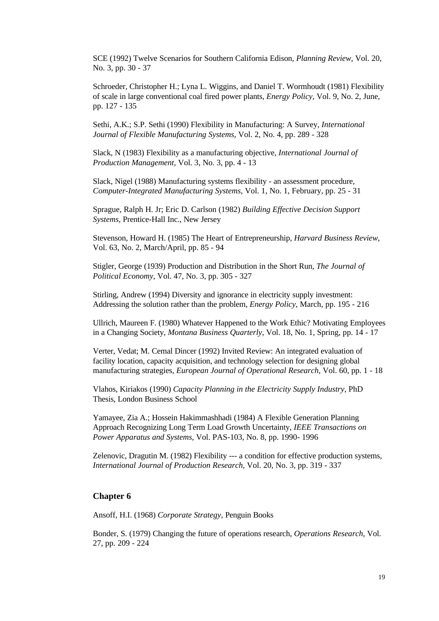SCE (1992) Twelve Scenarios for Southern California Edison, *Planning Review*, Vol. 20, No. 3, pp. 30 - 37

Schroeder, Christopher H.; Lyna L. Wiggins, and Daniel T. Wormhoudt (1981) Flexibility of scale in large conventional coal fired power plants, *Energy Policy*, Vol. 9, No. 2, June, pp. 127 - 135

Sethi, A.K.; S.P. Sethi (1990) Flexibility in Manufacturing: A Survey, *International Journal of Flexible Manufacturing Systems,* Vol. 2, No. 4, pp. 289 - 328

Slack, N (1983) Flexibility as a manufacturing objective, *International Journal of Production Management,* Vol. 3, No. 3, pp. 4 - 13

Slack, Nigel (1988) Manufacturing systems flexibility - an assessment procedure, *Computer-Integrated Manufacturing Systems*, Vol. 1, No. 1, February, pp. 25 - 31

Sprague, Ralph H. Jr; Eric D. Carlson (1982) *Building Effective Decision Support Systems,* Prentice-Hall Inc., New Jersey

Stevenson, Howard H. (1985) The Heart of Entrepreneurship, *Harvard Business Review*, Vol. 63, No. 2, March/April, pp. 85 - 94

Stigler, George (1939) Production and Distribution in the Short Run, *The Journal of Political Economy,* Vol. 47, No. 3, pp. 305 - 327

Stirling, Andrew (1994) Diversity and ignorance in electricity supply investment: Addressing the solution rather than the problem, *Energy Policy*, March, pp. 195 - 216

Ullrich, Maureen F. (1980) Whatever Happened to the Work Ethic? Motivating Employees in a Changing Society, *Montana Business Quarterly*, Vol. 18, No. 1, Spring, pp. 14 - 17

Verter, Vedat; M. Cemal Dincer (1992) Invited Review: An integrated evaluation of facility location, capacity acquisition, and technology selection for designing global manufacturing strategies, *European Journal of Operational Research,* Vol. 60, pp. 1 - 18

Vlahos, Kiriakos (1990) *Capacity Planning in the Electricity Supply Industry*, PhD Thesis, London Business School

Yamayee, Zia A.; Hossein Hakimmashhadi (1984) A Flexible Generation Planning Approach Recognizing Long Term Load Growth Uncertainty, *IEEE Transactions on Power Apparatus and Systems,* Vol. PAS-103, No. 8, pp. 1990- 1996

Zelenovic, Dragutin M. (1982) Flexibility --- a condition for effective production systems, *International Journal of Production Research,* Vol. 20, No. 3, pp. 319 - 337

## **Chapter 6**

Ansoff, H.I. (1968) *Corporate Strategy,* Penguin Books

Bonder, S. (1979) Changing the future of operations research, *Operations Research,* Vol. 27, pp. 209 - 224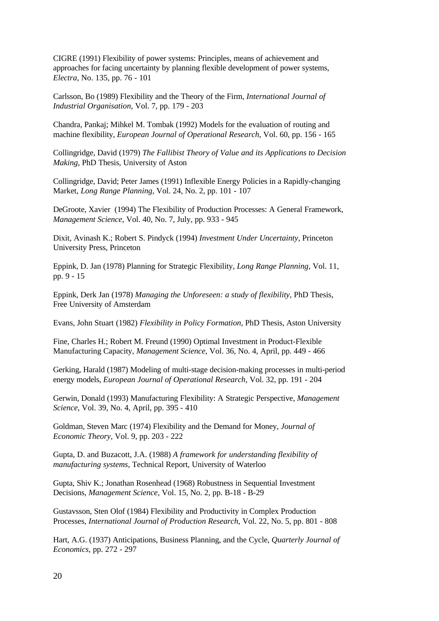CIGRE (1991) Flexibility of power systems: Principles, means of achievement and approaches for facing uncertainty by planning flexible development of power systems, *Electra,* No. 135, pp. 76 - 101

Carlsson, Bo (1989) Flexibility and the Theory of the Firm, *International Journal of Industrial Organisation*, Vol. 7, pp. 179 - 203

Chandra, Pankaj; Mihkel M. Tombak (1992) Models for the evaluation of routing and machine flexibility, *European Journal of Operational Research*, Vol. 60, pp. 156 - 165

Collingridge, David (1979) *The Fallibist Theory of Value and its Applications to Decision Making*, PhD Thesis, University of Aston

Collingridge, David; Peter James (1991) Inflexible Energy Policies in a Rapidly-changing Market, *Long Range Planning,* Vol. 24, No. 2, pp. 101 - 107

DeGroote, Xavier (1994) The Flexibility of Production Processes: A General Framework, *Management Science*, Vol. 40, No. 7, July, pp. 933 - 945

Dixit, Avinash K.; Robert S. Pindyck (1994) *Investment Under Uncertainty*, Princeton University Press, Princeton

Eppink, D. Jan (1978) Planning for Strategic Flexibility, *Long Range Planning,* Vol. 11, pp. 9 - 15

Eppink, Derk Jan (1978) *Managing the Unforeseen: a study of flexibility,* PhD Thesis, Free University of Amsterdam

Evans, John Stuart (1982) *Flexibility in Policy Formation,* PhD Thesis, Aston University

Fine, Charles H.; Robert M. Freund (1990) Optimal Investment in Product-Flexible Manufacturing Capacity, *Management Science*, Vol. 36, No. 4, April, pp. 449 - 466

Gerking, Harald (1987) Modeling of multi-stage decision-making processes in multi-period energy models, *European Journal of Operational Research,* Vol. 32, pp. 191 - 204

Gerwin, Donald (1993) Manufacturing Flexibility: A Strategic Perspective, *Management Science*, Vol. 39, No. 4, April, pp. 395 - 410

Goldman, Steven Marc (1974) Flexibility and the Demand for Money, *Journal of Economic Theory,* Vol. 9, pp. 203 - 222

Gupta, D. and Buzacott, J.A. (1988) *A framework for understanding flexibility of manufacturing systems*, Technical Report*,* University of Waterloo

Gupta, Shiv K.; Jonathan Rosenhead (1968) Robustness in Sequential Investment Decisions, *Management Science,* Vol. 15, No. 2, pp. B-18 - B-29

Gustavsson, Sten Olof (1984) Flexibility and Productivity in Complex Production Processes, *International Journal of Production Research*, Vol. 22, No. 5, pp. 801 - 808

Hart, A.G. (1937) Anticipations, Business Planning, and the Cycle, *Quarterly Journal of Economics*, pp. 272 - 297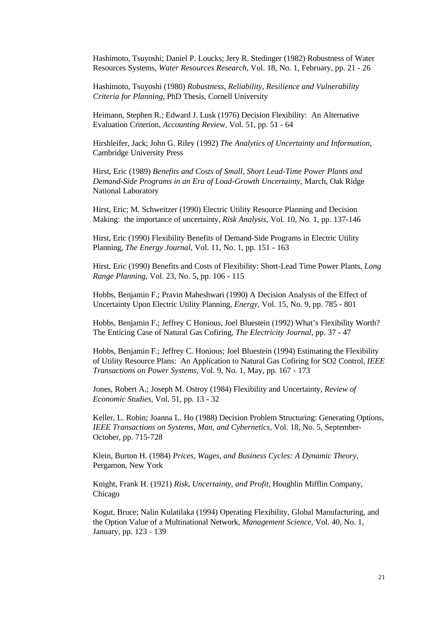Hashimoto, Tsuyoshi; Daniel P. Loucks; Jery R. Stedinger (1982) Robustness of Water Resources Systems, *Water Resources Research,* Vol. 18, No. 1, February, pp. 21 - 26

Hashimoto, Tsuyoshi (1980) *Robustness, Reliability, Resilience and Vulnerability Criteria for Planning*, PhD Thesis, Cornell University

Heimann, Stephen R.; Edward J. Lusk (1976) Decision Flexibility: An Alternative Evaluation Criterion, *Accounting Review,* Vol. 51, pp. 51 - 64

Hirshleifer, Jack; John G. Riley (1992) *The Analytics of Uncertainty and Information,* Cambridge University Press

Hirst, Eric (1989) *Benefits and Costs of Small, Short Lead-Time Power Plants and Demand-Side Programs in an Era of Load-Growth Uncertainty*, March, Oak Ridge National Laboratory

Hirst, Eric; M. Schweitzer (1990) Electric Utility Resource Planning and Decision Making: the importance of uncertainty, *Risk Analysis*, Vol. 10, No. 1, pp. 137-146

Hirst, Eric (1990) Flexibility Benefits of Demand-Side Programs in Electric Utility Planning, *The Energy Journal,* Vol. 11, No. 1, pp. 151 - 163

Hirst, Eric (1990) Benefits and Costs of Flexibility: Short-Lead Time Power Plants*, Long Range Planning*, Vol. 23, No. 5, pp. 106 - 115

Hobbs, Benjamin F.; Pravin Maheshwari (1990) A Decision Analysis of the Effect of Uncertainty Upon Electric Utility Planning, *Energy*, Vol. 15, No. 9, pp. 785 - 801

Hobbs, Benjamin F.; Jeffrey C Honious, Joel Bluestein (1992) What's Flexibility Worth? The Enticing Case of Natural Gas Cofiring, *The Electricity Journal,* pp. 37 - 47

Hobbs, Benjamin F.; Jeffrey C. Honious; Joel Bluestein (1994) Estimating the Flexibility of Utility Resource Plans: An Application to Natural Gas Cofiring for SO2 Control, *IEEE Transactions on Power Systems*, Vol. 9, No. 1, May, pp. 167 - 173

Jones, Robert A.; Joseph M. Ostroy (1984) Flexibility and Uncertainty, *Review of Economic Studies,* Vol. 51, pp. 13 - 32

Keller, L. Robin; Joanna L. Ho (1988) Decision Problem Structuring: Generating Options, *IEEE Transactions on Systems, Man, and Cybernetics,* Vol. 18, No. 5, September-October, pp. 715-728

Klein, Burton H. (1984) *Prices, Wages, and Business Cycles: A Dynamic Theory*, Pergamon, New York

Knight, Frank H. (1921) *Risk, Uncertainty, and Profit*, Houghlin Mifflin Company, Chicago

Kogut, Bruce; Nalin Kulatilaka (1994) Operating Flexibility, Global Manufacturing, and the Option Value of a Multinational Network, *Management Science*, Vol. 40, No. 1, January, pp. 123 - 139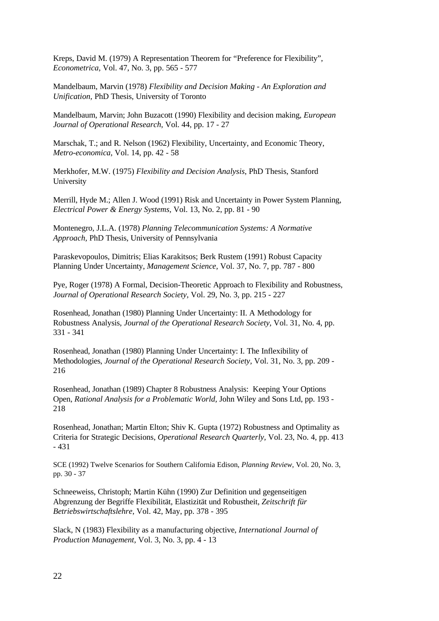Kreps, David M. (1979) A Representation Theorem for "Preference for Flexibility", *Econometrica,* Vol. 47, No. 3, pp. 565 - 577

Mandelbaum, Marvin (1978) *Flexibility and Decision Making - An Exploration and Unification,* PhD Thesis, University of Toronto

Mandelbaum, Marvin; John Buzacott (1990) Flexibility and decision making*, European Journal of Operational Research*, Vol. 44, pp. 17 - 27

Marschak, T.; and R. Nelson (1962) Flexibility, Uncertainty, and Economic Theory, *Metro-economica*, Vol. 14, pp. 42 - 58

Merkhofer, M.W. (1975) *Flexibility and Decision Analysis*, PhD Thesis, Stanford University

Merrill, Hyde M.; Allen J. Wood (1991) Risk and Uncertainty in Power System Planning, *Electrical Power & Energy Systems,* Vol. 13, No. 2, pp. 81 - 90

Montenegro, J.L.A. (1978) *Planning Telecommunication Systems: A Normative Approach,* PhD Thesis, University of Pennsylvania

Paraskevopoulos, Dimitris; Elias Karakitsos; Berk Rustem (1991) Robust Capacity Planning Under Uncertainty, *Management Science,* Vol. 37, No. 7, pp. 787 - 800

Pye, Roger (1978) A Formal, Decision-Theoretic Approach to Flexibility and Robustness, *Journal of Operational Research Society,* Vol. 29, No. 3, pp. 215 - 227

Rosenhead, Jonathan (1980) Planning Under Uncertainty: II. A Methodology for Robustness Analysis, *Journal of the Operational Research Society,* Vol. 31, No. 4, pp. 331 - 341

Rosenhead, Jonathan (1980) Planning Under Uncertainty: I. The Inflexibility of Methodologies, *Journal of the Operational Research Society,* Vol. 31, No. 3, pp. 209 - 216

Rosenhead, Jonathan (1989) Chapter 8 Robustness Analysis: Keeping Your Options Open, *Rational Analysis for a Problematic World,* John Wiley and Sons Ltd, pp. 193 - 218

Rosenhead, Jonathan; Martin Elton; Shiv K. Gupta (1972) Robustness and Optimality as Criteria for Strategic Decisions, *Operational Research Quarterly,* Vol. 23, No. 4, pp. 413 - 431

SCE (1992) Twelve Scenarios for Southern California Edison, *Planning Review*, Vol. 20, No. 3, pp. 30 - 37

Schneeweiss, Christoph; Martin Kühn (1990) Zur Definition und gegenseitigen Abgrenzung der Begriffe Flexibilität, Elastizität und Robustheit, *Zeitschrift für Betriebswirtschaftslehre*, Vol. 42, May, pp. 378 - 395

Slack, N (1983) Flexibility as a manufacturing objective, *International Journal of Production Management,* Vol. 3, No. 3, pp. 4 - 13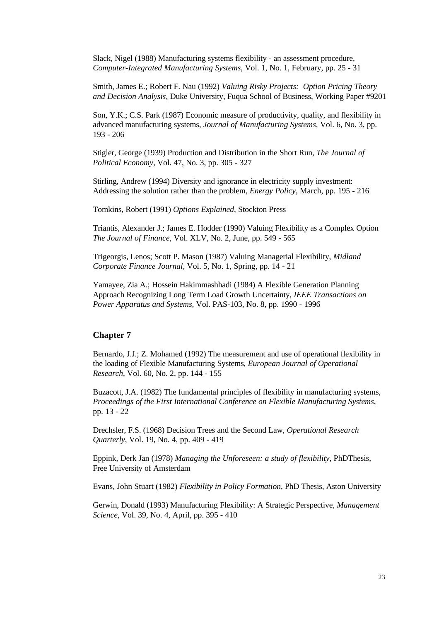Slack, Nigel (1988) Manufacturing systems flexibility - an assessment procedure, *Computer-Integrated Manufacturing Systems*, Vol. 1, No. 1, February, pp. 25 - 31

Smith, James E.; Robert F. Nau (1992) *Valuing Risky Projects: Option Pricing Theory and Decision Analysis*, Duke University, Fuqua School of Business, Working Paper #9201

Son, Y.K.; C.S. Park (1987) Economic measure of productivity, quality, and flexibility in advanced manufacturing systems, *Journal of Manufacturing Systems,* Vol. 6, No. 3, pp. 193 - 206

Stigler, George (1939) Production and Distribution in the Short Run, *The Journal of Political Economy,* Vol. 47, No. 3, pp. 305 - 327

Stirling, Andrew (1994) Diversity and ignorance in electricity supply investment: Addressing the solution rather than the problem, *Energy Policy*, March, pp. 195 - 216

Tomkins, Robert (1991) *Options Explained*, Stockton Press

Triantis, Alexander J.; James E. Hodder (1990) Valuing Flexibility as a Complex Option *The Journal of Finance*, Vol. XLV, No. 2, June, pp. 549 - 565

Trigeorgis, Lenos; Scott P. Mason (1987) Valuing Managerial Flexibility, *Midland Corporate Finance Journal*, Vol. 5, No. 1, Spring, pp. 14 - 21

Yamayee, Zia A.; Hossein Hakimmashhadi (1984) A Flexible Generation Planning Approach Recognizing Long Term Load Growth Uncertainty, *IEEE Transactions on Power Apparatus and Systems,* Vol. PAS-103, No. 8, pp. 1990 - 1996

### **Chapter 7**

Bernardo, J.J.; Z. Mohamed (1992) The measurement and use of operational flexibility in the loading of Flexible Manufacturing Systems, *European Journal of Operational Research*, Vol. 60, No. 2, pp. 144 - 155

Buzacott, J.A. (1982) The fundamental principles of flexibility in manufacturing systems, *Proceedings of the First International Conference on Flexible Manufacturing Systems*, pp. 13 - 22

Drechsler, F.S. (1968) Decision Trees and the Second Law, *Operational Research Quarterly*, Vol. 19, No. 4, pp. 409 - 419

Eppink, Derk Jan (1978) *Managing the Unforeseen: a study of flexibility*, PhDThesis, Free University of Amsterdam

Evans, John Stuart (1982) *Flexibility in Policy Formation*, PhD Thesis, Aston University

Gerwin, Donald (1993) Manufacturing Flexibility: A Strategic Perspective*, Management Science*, Vol. 39, No. 4, April, pp. 395 - 410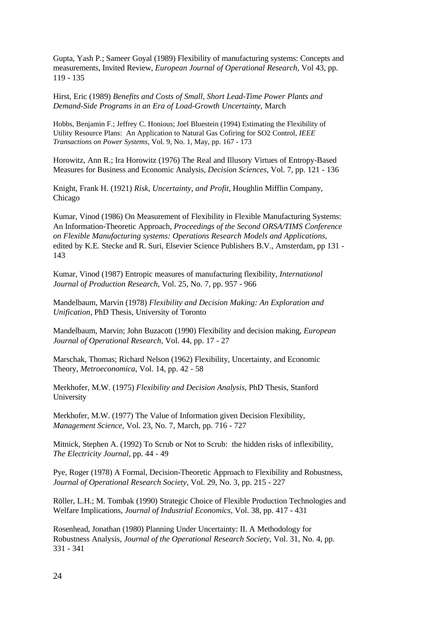Gupta, Yash P.; Sameer Goyal (1989) Flexibility of manufacturing systems: Concepts and measurements, Invited Review, *European Journal of Operational Research*, Vol 43, pp. 119 - 135

Hirst, Eric (1989) *Benefits and Costs of Small, Short Lead-Time Power Plants and Demand-Side Programs in an Era of Load-Growth Uncertainty*, March

Hobbs, Benjamin F.; Jeffrey C. Honious; Joel Bluestein (1994) Estimating the Flexibility of Utility Resource Plans: An Application to Natural Gas Cofiring for SO2 Control, *IEEE Transactions on Power Systems*, Vol. 9, No. 1, May, pp. 167 - 173

Horowitz, Ann R.; Ira Horowitz (1976) The Real and Illusory Virtues of Entropy-Based Measures for Business and Economic Analysis, *Decision Sciences*, Vol. 7, pp. 121 - 136

Knight, Frank H. (1921) *Risk, Uncertainty, and Profit*, Houghlin Mifflin Company, Chicago

Kumar, Vinod (1986) On Measurement of Flexibility in Flexible Manufacturing Systems: An Information-Theoretic Approach, *Proceedings of the Second ORSA/TIMS Conference on Flexible Manufacturing systems: Operations Research Models and Applications*, edited by K.E. Stecke and R. Suri, Elsevier Science Publishers B.V., Amsterdam, pp 131 - 143

Kumar, Vinod (1987) Entropic measures of manufacturing flexibility, *International Journal of Production Research*, Vol. 25, No. 7, pp. 957 - 966

Mandelbaum, Marvin (1978) *Flexibility and Decision Making: An Exploration and Unification*, PhD Thesis, University of Toronto

Mandelbaum, Marvin; John Buzacott (1990) Flexibility and decision making*, European Journal of Operational Research*, Vol. 44, pp. 17 - 27

Marschak, Thomas; Richard Nelson (1962) Flexibility, Uncertainty, and Economic Theory, *Metroeconomica*, Vol. 14, pp. 42 - 58

Merkhofer, M.W. (1975) *Flexibility and Decision Analysis*, PhD Thesis, Stanford University

Merkhofer, M.W. (1977) The Value of Information given Decision Flexibility, *Management Science*, Vol. 23, No. 7, March, pp. 716 - 727

Mitnick, Stephen A. (1992) To Scrub or Not to Scrub: the hidden risks of inflexibility, *The Electricity Journal*, pp. 44 - 49

Pye, Roger (1978) A Formal, Decision-Theoretic Approach to Flexibility and Robustness, *Journal of Operational Research Society*, Vol. 29, No. 3, pp. 215 - 227

Röller, L.H.; M. Tombak (1990) Strategic Choice of Flexible Production Technologies and Welfare Implications, *Journal of Industrial Economics*, Vol. 38, pp. 417 - 431

Rosenhead, Jonathan (1980) Planning Under Uncertainty: II. A Methodology for Robustness Analysis, *Journal of the Operational Research Society*, Vol. 31, No. 4, pp. 331 - 341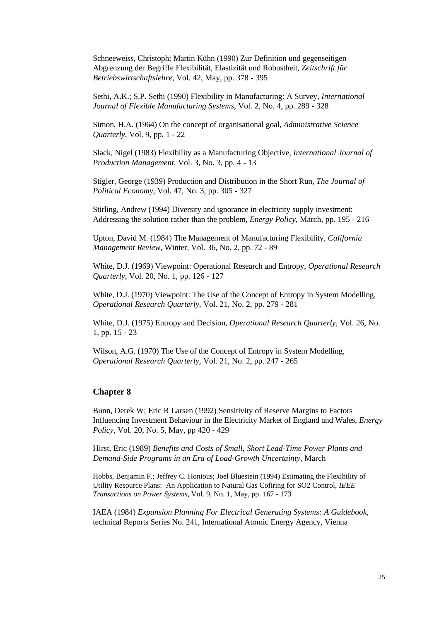Schneeweiss, Christoph; Martin Kühn (1990) Zur Definition und gegenseitigen Abgrenzung der Begriffe Flexibilität, Elastizität und Robustheit, *Zeitschrift für Betriebswirtschaftslehre*, Vol. 42, May, pp. 378 - 395

Sethi, A.K.; S.P. Sethi (1990) Flexibility in Manufacturing: A Survey*, International Journal of Flexible Manufacturing Systems*, Vol. 2, No. 4, pp. 289 - 328

Simon, H.A. (1964) On the concept of organisational goal, *Administrative Science Quarterly*, Vol. 9, pp. 1 - 22

Slack, Nigel (1983) Flexibility as a Manufacturing Objective, *International Journal of Production Management*, Vol. 3, No. 3, pp. 4 - 13

Stigler, George (1939) Production and Distribution in the Short Run, *The Journal of Political Economy*, Vol. 47, No. 3, pp. 305 - 327

Stirling, Andrew (1994) Diversity and ignorance in electricity supply investment: Addressing the solution rather than the problem, *Energy Policy*, March, pp. 195 - 216

Upton, David M. (1984) The Management of Manufacturing Flexibility*, California Management Review*, Winter, Vol. 36, No. 2, pp. 72 - 89

White, D.J. (1969) Viewpoint: Operational Research and Entropy, *Operational Research Quarterly*, Vol. 20, No. 1, pp. 126 - 127

White, D.J. (1970) Viewpoint: The Use of the Concept of Entropy in System Modelling*, Operational Research Quarterly*, Vol. 21, No. 2, pp. 279 - 281

White, D.J. (1975) Entropy and Decision, *Operational Research Quarterly*, Vol. 26, No. 1, pp. 15 - 23

Wilson, A.G. (1970) The Use of the Concept of Entropy in System Modelling, *Operational Research Quarterly*, Vol. 21, No. 2, pp. 247 - 265

### **Chapter 8**

Bunn, Derek W; Eric R Larsen (1992) Sensitivity of Reserve Margins to Factors Influencing Investment Behaviour in the Electricity Market of England and Wales, *Energy Policy*, Vol. 20, No. 5, May, pp 420 - 429

Hirst, Eric (1989) *Benefits and Costs of Small, Short Lead-Time Power Plants and Demand-Side Programs in an Era of Load-Growth Uncertainty*, March

Hobbs, Benjamin F.; Jeffrey C. Honious; Joel Bluestein (1994) Estimating the Flexibility of Utility Resource Plans: An Application to Natural Gas Cofiring for SO2 Control, *IEEE Transactions on Power Systems*, Vol. 9, No. 1, May, pp. 167 - 173

IAEA (1984) *Expansion Planning For Electrical Generating Systems: A Guidebook*, technical Reports Series No. 241, International Atomic Energy Agency, Vienna